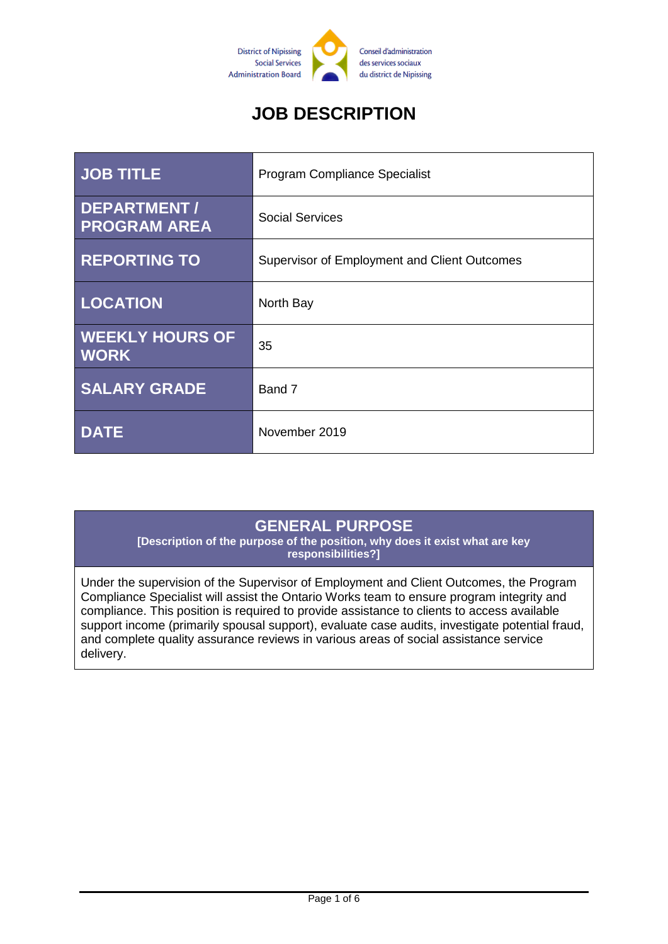

# **JOB DESCRIPTION**

| <b>JOB TITLE</b>                      | Program Compliance Specialist                |
|---------------------------------------|----------------------------------------------|
| DEPARTMENT /<br><b>PROGRAM AREA</b>   | <b>Social Services</b>                       |
| <b>REPORTING TO</b>                   | Supervisor of Employment and Client Outcomes |
| <b>LOCATION</b>                       | North Bay                                    |
| <b>WEEKLY HOURS OF</b><br><b>WORK</b> | 35                                           |
| <b>SALARY GRADE</b>                   | Band 7                                       |
| <b>DATE</b>                           | November 2019                                |

#### **GENERAL PURPOSE**

**[Description of the purpose of the position, why does it exist what are key responsibilities?]**

Under the supervision of the Supervisor of Employment and Client Outcomes, the Program Compliance Specialist will assist the Ontario Works team to ensure program integrity and compliance. This position is required to provide assistance to clients to access available support income (primarily spousal support), evaluate case audits, investigate potential fraud, and complete quality assurance reviews in various areas of social assistance service delivery.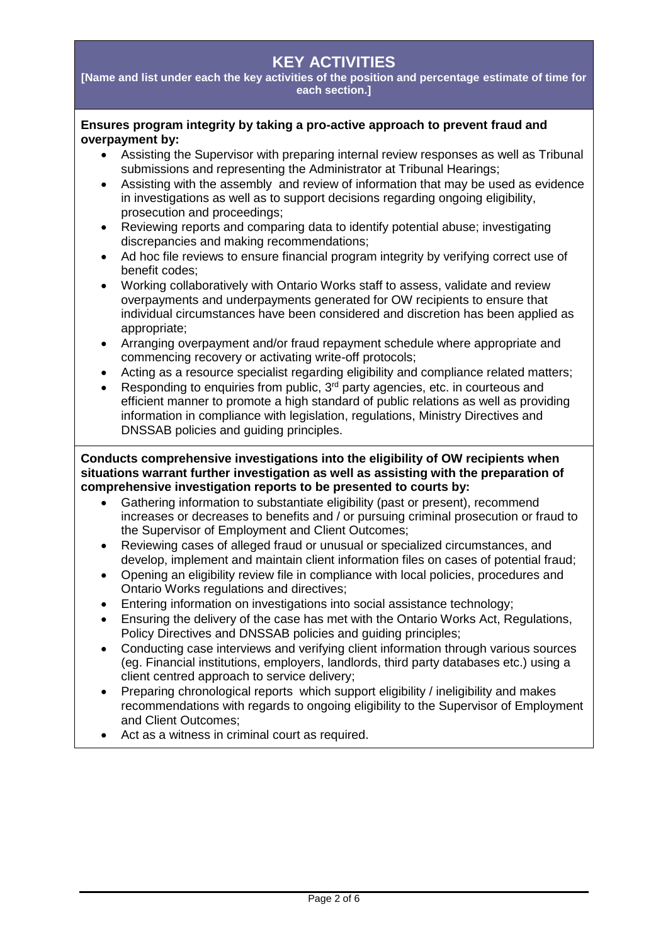## **KEY ACTIVITIES**

**[Name and list under each the key activities of the position and percentage estimate of time for each section.]**

#### **Ensures program integrity by taking a pro-active approach to prevent fraud and overpayment by:**

- Assisting the Supervisor with preparing internal review responses as well as Tribunal submissions and representing the Administrator at Tribunal Hearings;
- Assisting with the assembly and review of information that may be used as evidence in investigations as well as to support decisions regarding ongoing eligibility, prosecution and proceedings;
- Reviewing reports and comparing data to identify potential abuse; investigating discrepancies and making recommendations;
- Ad hoc file reviews to ensure financial program integrity by verifying correct use of benefit codes;
- Working collaboratively with Ontario Works staff to assess, validate and review overpayments and underpayments generated for OW recipients to ensure that individual circumstances have been considered and discretion has been applied as appropriate;
- Arranging overpayment and/or fraud repayment schedule where appropriate and commencing recovery or activating write-off protocols;
- Acting as a resource specialist regarding eligibility and compliance related matters;
- Responding to enquiries from public,  $3<sup>rd</sup>$  party agencies, etc. in courteous and efficient manner to promote a high standard of public relations as well as providing information in compliance with legislation, regulations, Ministry Directives and DNSSAB policies and guiding principles.

**Conducts comprehensive investigations into the eligibility of OW recipients when situations warrant further investigation as well as assisting with the preparation of comprehensive investigation reports to be presented to courts by:**

- Gathering information to substantiate eligibility (past or present), recommend increases or decreases to benefits and / or pursuing criminal prosecution or fraud to the Supervisor of Employment and Client Outcomes;
- Reviewing cases of alleged fraud or unusual or specialized circumstances, and develop, implement and maintain client information files on cases of potential fraud;
- Opening an eligibility review file in compliance with local policies, procedures and Ontario Works regulations and directives;
- Entering information on investigations into social assistance technology;
- Ensuring the delivery of the case has met with the Ontario Works Act, Regulations, Policy Directives and DNSSAB policies and guiding principles;
- Conducting case interviews and verifying client information through various sources (eg. Financial institutions, employers, landlords, third party databases etc.) using a client centred approach to service delivery;
- Preparing chronological reports which support eligibility / ineligibility and makes recommendations with regards to ongoing eligibility to the Supervisor of Employment and Client Outcomes;
- Act as a witness in criminal court as required.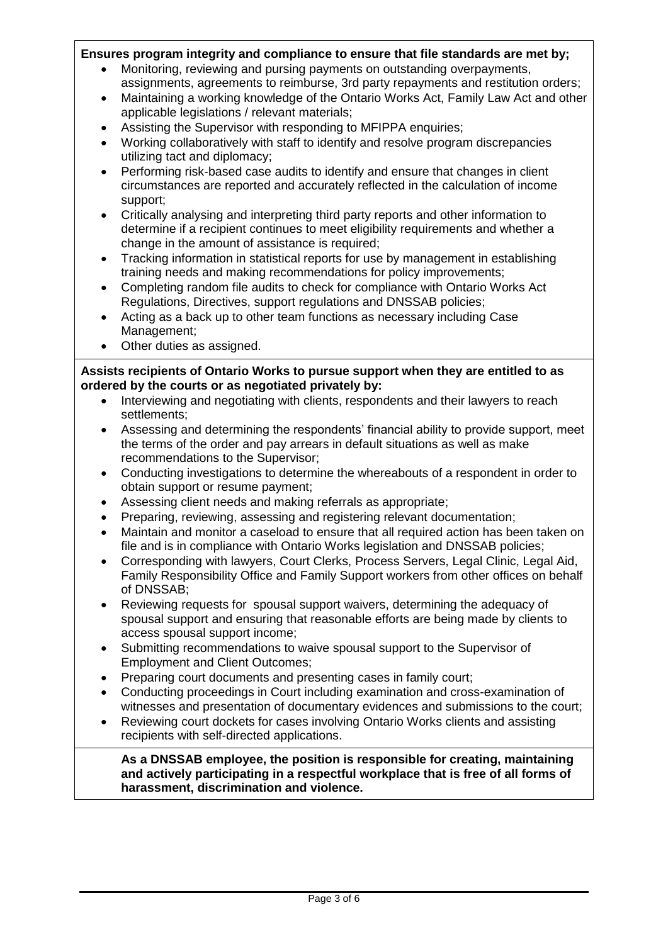#### **Ensures program integrity and compliance to ensure that file standards are met by;**

- Monitoring, reviewing and pursing payments on outstanding overpayments, assignments, agreements to reimburse, 3rd party repayments and restitution orders;
- Maintaining a working knowledge of the Ontario Works Act, Family Law Act and other applicable legislations / relevant materials;
- Assisting the Supervisor with responding to MFIPPA enquiries;
- Working collaboratively with staff to identify and resolve program discrepancies utilizing tact and diplomacy;
- Performing risk-based case audits to identify and ensure that changes in client circumstances are reported and accurately reflected in the calculation of income support;
- Critically analysing and interpreting third party reports and other information to determine if a recipient continues to meet eligibility requirements and whether a change in the amount of assistance is required;
- Tracking information in statistical reports for use by management in establishing training needs and making recommendations for policy improvements;
- Completing random file audits to check for compliance with Ontario Works Act Regulations, Directives, support regulations and DNSSAB policies;
- Acting as a back up to other team functions as necessary including Case Management;
- Other duties as assigned.

**Assists recipients of Ontario Works to pursue support when they are entitled to as ordered by the courts or as negotiated privately by:**

- Interviewing and negotiating with clients, respondents and their lawyers to reach settlements;
- Assessing and determining the respondents' financial ability to provide support, meet the terms of the order and pay arrears in default situations as well as make recommendations to the Supervisor;
- Conducting investigations to determine the whereabouts of a respondent in order to obtain support or resume payment;
- Assessing client needs and making referrals as appropriate;
- Preparing, reviewing, assessing and registering relevant documentation;
- Maintain and monitor a caseload to ensure that all required action has been taken on file and is in compliance with Ontario Works legislation and DNSSAB policies;
- Corresponding with lawyers, Court Clerks, Process Servers, Legal Clinic, Legal Aid, Family Responsibility Office and Family Support workers from other offices on behalf of DNSSAB;
- Reviewing requests for spousal support waivers, determining the adequacy of spousal support and ensuring that reasonable efforts are being made by clients to access spousal support income;
- Submitting recommendations to waive spousal support to the Supervisor of Employment and Client Outcomes;
- Preparing court documents and presenting cases in family court;
- Conducting proceedings in Court including examination and cross-examination of witnesses and presentation of documentary evidences and submissions to the court;
- Reviewing court dockets for cases involving Ontario Works clients and assisting recipients with self-directed applications.

**As a DNSSAB employee, the position is responsible for creating, maintaining and actively participating in a respectful workplace that is free of all forms of harassment, discrimination and violence.**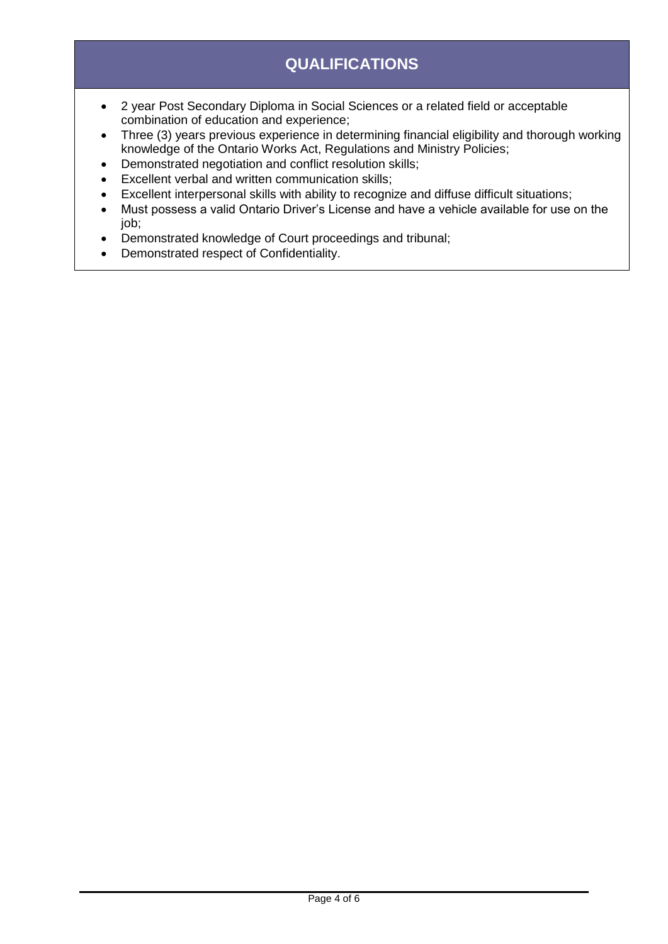## **QUALIFICATIONS**

- 2 year Post Secondary Diploma in Social Sciences or a related field or acceptable combination of education and experience;
- Three (3) years previous experience in determining financial eligibility and thorough working knowledge of the Ontario Works Act, Regulations and Ministry Policies;
- Demonstrated negotiation and conflict resolution skills;
- Excellent verbal and written communication skills;
- Excellent interpersonal skills with ability to recognize and diffuse difficult situations;
- Must possess a valid Ontario Driver's License and have a vehicle available for use on the job;
- Demonstrated knowledge of Court proceedings and tribunal;
- Demonstrated respect of Confidentiality.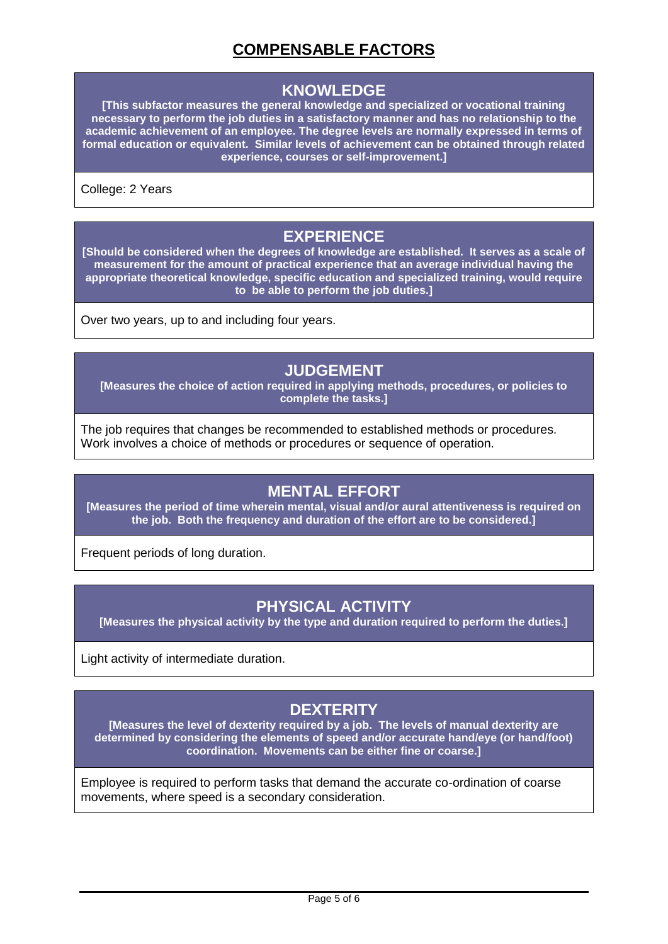## **COMPENSABLE FACTORS**

#### **KNOWLEDGE**

**[This subfactor measures the general knowledge and specialized or vocational training necessary to perform the job duties in a satisfactory manner and has no relationship to the academic achievement of an employee. The degree levels are normally expressed in terms of formal education or equivalent. Similar levels of achievement can be obtained through related experience, courses or self-improvement.]**

College: 2 Years

#### **EXPERIENCE**

**[Should be considered when the degrees of knowledge are established. It serves as a scale of measurement for the amount of practical experience that an average individual having the appropriate theoretical knowledge, specific education and specialized training, would require to be able to perform the job duties.]**

Over two years, up to and including four years.

#### **JUDGEMENT**

**[Measures the choice of action required in applying methods, procedures, or policies to complete the tasks.]**

The job requires that changes be recommended to established methods or procedures. Work involves a choice of methods or procedures or sequence of operation.

#### **MENTAL EFFORT**

**[Measures the period of time wherein mental, visual and/or aural attentiveness is required on the job. Both the frequency and duration of the effort are to be considered.]**

Frequent periods of long duration.

#### **PHYSICAL ACTIVITY**

**[Measures the physical activity by the type and duration required to perform the duties.]**

Light activity of intermediate duration.

## **DEXTERITY**

**[Measures the level of dexterity required by a job. The levels of manual dexterity are determined by considering the elements of speed and/or accurate hand/eye (or hand/foot) coordination. Movements can be either fine or coarse.]**

Employee is required to perform tasks that demand the accurate co-ordination of coarse movements, where speed is a secondary consideration.